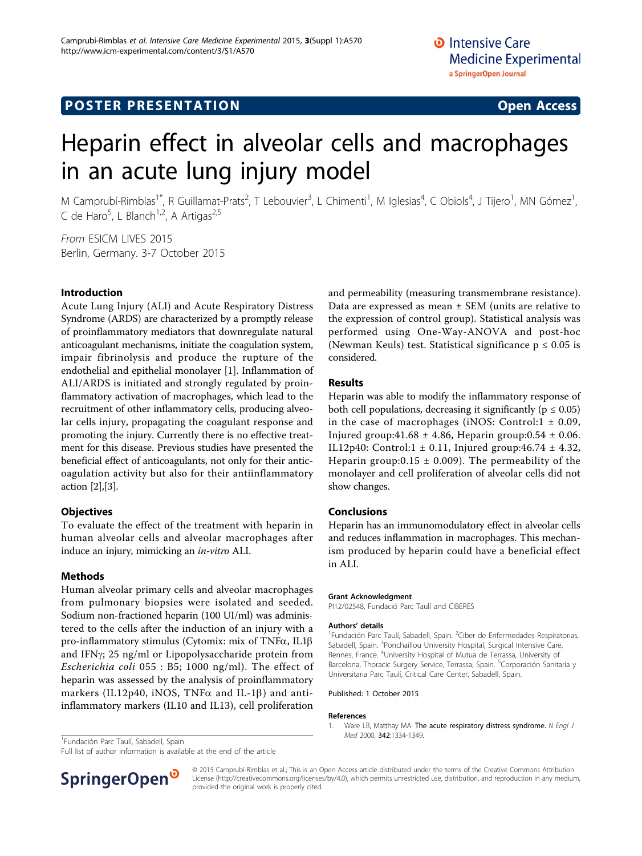# Heparin effect in alveolar cells and macrophages in an acute lung injury model

M Camprubí-Rimblas<sup>1\*</sup>, R Guillamat-Prats<sup>2</sup>, T Lebouvier<sup>3</sup>, L Chimenti<sup>1</sup>, M Iglesias<sup>4</sup>, C Obiols<sup>4</sup>, J Tijero<sup>1</sup>, MN Gómez<sup>1</sup> , C de Haro<sup>5</sup>, L Blanch<sup>1,2</sup>, A Artigas<sup>2,5</sup>

From ESICM LIVES 2015 Berlin, Germany. 3-7 October 2015

## Introduction

Acute Lung Injury (ALI) and Acute Respiratory Distress Syndrome (ARDS) are characterized by a promptly release of proinflammatory mediators that downregulate natural anticoagulant mechanisms, initiate the coagulation system, impair fibrinolysis and produce the rupture of the endothelial and epithelial monolayer [1]. Inflammation of ALI/ARDS is initiated and strongly regulated by proinflammatory activation of macrophages, which lead to the recruitment of other inflammatory cells, producing alveolar cells injury, propagating the coagulant response and promoting the injury. Currently there is no effective treatment for this disease. Previous studies have presented the beneficial effect of anticoagulants, not only for their anticoagulation activity but also for their antiinflammatory action [[2\]](#page-1-0),[[3\]](#page-1-0).

## **Objectives**

To evaluate the effect of the treatment with heparin in human alveolar cells and alveolar macrophages after induce an injury, mimicking an in-vitro ALI.

## Methods

Human alveolar primary cells and alveolar macrophages from pulmonary biopsies were isolated and seeded. Sodium non-fractioned heparin (100 UI/ml) was administered to the cells after the induction of an injury with a pro-inflammatory stimulus (Cytomix: mix of TNF $\alpha$ , IL1 $\beta$ and IFNy; 25 ng/ml or Lipopolysaccharide protein from Escherichia coli 055 : B5; 1000 ng/ml). The effect of heparin was assessed by the analysis of proinflammatory markers (IL12p40, iNOS, TNF $\alpha$  and IL-1 $\beta$ ) and antiinflammatory markers (IL10 and IL13), cell proliferation

and permeability (measuring transmembrane resistance). Data are expressed as mean  $\pm$  SEM (units are relative to the expression of control group). Statistical analysis was performed using One-Way-ANOVA and post-hoc (Newman Keuls) test. Statistical significance  $p \leq 0.05$  is considered.

## Results

Heparin was able to modify the inflammatory response of both cell populations, decreasing it significantly ( $p \le 0.05$ ) in the case of macrophages (iNOS: Control: $1 \pm 0.09$ , Injured group:  $41.68 \pm 4.86$ , Heparin group:  $0.54 \pm 0.06$ . IL12p40: Control:1  $\pm$  0.11, Injured group:46.74  $\pm$  4.32, Heparin group:0.15  $\pm$  0.009). The permeability of the monolayer and cell proliferation of alveolar cells did not show changes.

## Conclusions

Heparin has an immunomodulatory effect in alveolar cells and reduces inflammation in macrophages. This mechanism produced by heparin could have a beneficial effect in ALI.

#### Grant Acknowledgment

PI12/02548, Fundació Parc Taulí and CIBERES

#### Authors' details <sup>1</sup>

Fundación Parc Taulí, Sabadell, Spain. <sup>2</sup>Ciber de Enfermedades Respiratorias, Sabadell, Spain. <sup>3</sup>Ponchaillou University Hospital, Surgical Intensive Care Rennes, France. <sup>4</sup>University Hospital of Mutua de Terrassa, University of Barcelona, Thoracic Surgery Service, Terrassa, Spain. <sup>5</sup>Corporación Sanitaria y Universitaria Parc Taulí, Critical Care Center, Sabadell, Spain.

#### Published: 1 October 2015

#### References

1. Ware LB, Matthay MA: [The acute respiratory distress syndrome.](http://www.ncbi.nlm.nih.gov/pubmed/10793167?dopt=Abstract) N Engl J

<sup>1</sup> Fundación Parc Taulí, Sabadell, Spain en al antico de la composición de la composición Parc Taulí, Sabadell, Spain

Full list of author information is available at the end of the article



© 2015 Camprubí-Rimblas et al.; This is an Open Access article distributed under the terms of the Creative Commons Attribution License [\(http://creativecommons.org/licenses/by/4.0](http://creativecommons.org/licenses/by/4.0)), which permits unrestricted use, distribution, and reproduction in any medium, provided the original work is properly cited.